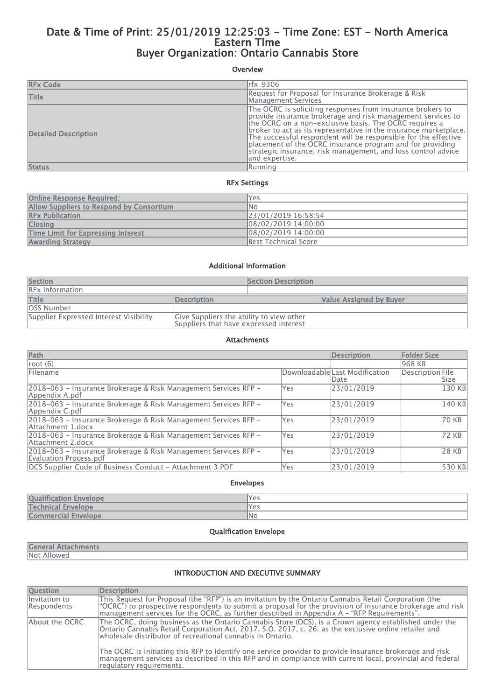# Date & Time of Print: 25/01/2019 12:25:03 - Time Zone: EST - North America Eastern Time Buyer Organization: Ontario Cannabis Store

## Overview

| <b>RFx Code</b>             | rfx_9306                                                                                                                                                                                                                                                                                                                                                                                                                                                                    |
|-----------------------------|-----------------------------------------------------------------------------------------------------------------------------------------------------------------------------------------------------------------------------------------------------------------------------------------------------------------------------------------------------------------------------------------------------------------------------------------------------------------------------|
| <b>Title</b>                | Request for Proposal for Insurance Brokerage & Risk<br>Management Services                                                                                                                                                                                                                                                                                                                                                                                                  |
| <b>Detailed Description</b> | The OCRC is soliciting responses from insurance brokers to<br>provide insurance brokerage and risk management services to<br>the OCRC on a non-exclusive basis. The OCRC requires a<br>broker to act as its representative in the insurance marketplace.<br>The successful respondent will be responsible for the effective<br>placement of the OCRC insurance program and for providing<br>strategic insurance, risk management, and loss control advice<br>and expertise. |
| <b>Status</b>               | <b>IRunnina</b>                                                                                                                                                                                                                                                                                                                                                                                                                                                             |

#### RFx Settings

| <b>Online Response Required:</b>          | lYes                 |
|-------------------------------------------|----------------------|
| Allow Suppliers to Respond by Consortium  | INo.                 |
| <b>RFx Publication</b>                    | 23/01/2019 16:58:54  |
| <b>Closing</b>                            | 08/02/2019 14:00:00  |
| <b>Time Limit for Expressing Interest</b> | 08/02/2019 14:00:00  |
| <b>Awarding Strategy</b>                  | Best Technical Score |

#### Additional Information

| Section                                |                                                                                    | <b>Section Description</b> |                                |
|----------------------------------------|------------------------------------------------------------------------------------|----------------------------|--------------------------------|
| <b>RFx Information</b>                 |                                                                                    |                            |                                |
| <b>Title</b>                           | Description                                                                        |                            | <b>Value Assigned by Buyer</b> |
| <b>OSS Number</b>                      |                                                                                    |                            |                                |
| Supplier Expressed Interest Visibility | Give Suppliers the ability to view other<br>Suppliers that have expressed interest |                            |                                |

#### Attachments

| Path                                                                                      |            | <b>Description</b>                     | <b>Folder Size</b> |        |
|-------------------------------------------------------------------------------------------|------------|----------------------------------------|--------------------|--------|
| root $(6)$                                                                                |            |                                        | 968 KB             |        |
| Filename                                                                                  |            | Downloadable Last Modification<br>Date | Description File   | Size   |
| 2018-063 - Insurance Brokerage & Risk Management Services RFP -<br>Appendix A.pdf         | Yes        | 23/01/2019                             |                    | 130 KB |
| 2018–063 – Insurance Brokerage & Risk Management Services RFP –<br>Appendix C.pdf         | Yes        | 23/01/2019                             |                    | 140 KB |
| 2018–063 – Insurance Brokerage & Risk Management Services RFP –<br>Attachment 1.docx      | Yes        | 23/01/2019                             |                    | 70 KB  |
| 2018–063 – Insurance Brokerage & Risk Management Services RFP –<br>Attachment 2.docx      | Yes        | 23/01/2019                             |                    | 72 KB  |
| 2018–063 – Insurance Brokerage & Risk Management Services RFP –<br>Evaluation Process.pdf | <b>Yes</b> | 23/01/2019                             |                    | 28 KB  |
| OCS Supplier Code of Business Conduct - Attachment 3.PDF                                  | Yes        | 23/01/2019                             |                    | 530 KB |

#### Envelopes

| <b>Oualification Envelope</b> | lYes |
|-------------------------------|------|
| <b>Technical Envelope</b>     | lYes |
| <b>Commercial Envelope</b>    | ۱No  |
|                               |      |

## Qualification Envelope

## General Attachments

Not Allowed

### INTRODUCTION AND EXECUTIVE SUMMARY

| <b>Question</b>              | <b>Description</b>                                                                                                                                                                                                                                                                                                    |
|------------------------------|-----------------------------------------------------------------------------------------------------------------------------------------------------------------------------------------------------------------------------------------------------------------------------------------------------------------------|
| Invitation to<br>Respondents | This Request for Proposal (the "RFP") is an invitation by the Ontario Cannabis Retail Corporation (the<br>"OCRC") to prospective respondents to submit a proposal for the provision of insurance brokerage and risk<br>management services for the OCRC, as further described in Appendix $A - H$ "RFP Requirements". |
| About the OCRC               | The OCRC, doing business as the Ontario Cannabis Store (OCS), is a Crown agency established under the<br>Ontario Cannabis Retail Corporation Act, 2017, S.O. 2017, c. 26. as the exclusive online retailer and<br>wholesale distributor of recreational cannabis in Ontario.                                          |
|                              | The OCRC is initiating this RFP to identify one service provider to provide insurance brokerage and risk<br>management services as described in this RFP and in compliance with current local, provincial and federal<br>regulatory reguirements.                                                                     |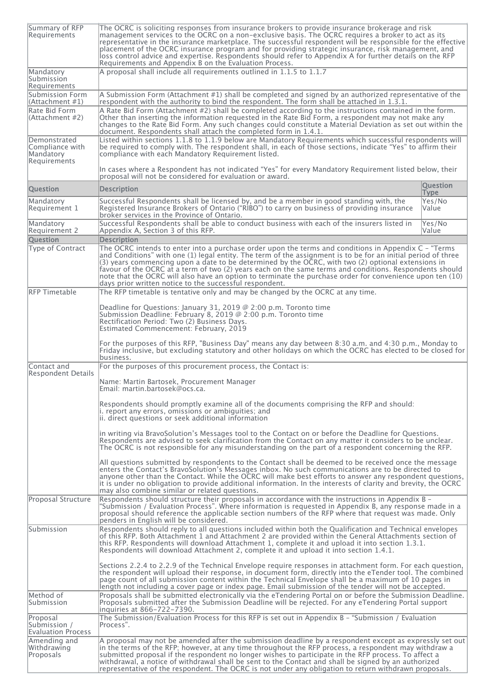| Summary of RFP<br>Requirements                               | The OCRC is soliciting responses from insurance brokers to provide insurance brokerage and risk<br>management services to the OCRC on a non-exclusive basis. The OCRC requires a broker to act as its<br>representative in the insurance marketplace. The successful respondent will be responsible for the effective<br>placement of the OCRC insurance program and for providing strategic insurance, risk management, and<br>loss control advice and expertise. Respondents should refer to Appendix A for further details on the RFP<br>Requirements and Appendix B on the Evaluation Process.                                      |                                |
|--------------------------------------------------------------|-----------------------------------------------------------------------------------------------------------------------------------------------------------------------------------------------------------------------------------------------------------------------------------------------------------------------------------------------------------------------------------------------------------------------------------------------------------------------------------------------------------------------------------------------------------------------------------------------------------------------------------------|--------------------------------|
| Mandatory<br>Submission<br>Requirements                      | A proposal shall include all requirements outlined in $1.1.5$ to $1.1.7$                                                                                                                                                                                                                                                                                                                                                                                                                                                                                                                                                                |                                |
| Submission Form<br> (Attachment #1)                          | $\vert$ A Submission Form (Attachment #1) shall be completed and signed by an authorized representative of the<br>respondent with the authority to bind the respondent. The form shall be attached in $1.3.1$ .                                                                                                                                                                                                                                                                                                                                                                                                                         |                                |
| Rate Bid Form<br>(Attachment #2)                             | A Rate Bid Form (Attachment #2) shall be completed according to the instructions contained in the form.<br>Other than inserting the information requested in the Rate Bid Form, a respondent may not make any<br>changes to the Rate Bid Form. Any such changes could constitute a Material Deviation as set out within the<br>document. Respondents shall attach the completed form in 1.4.1.                                                                                                                                                                                                                                          |                                |
| Demonstrated<br>Compliance with<br>Mandatory<br>Requirements | Listed within sections 1.1.8 to 1.1.9 below are Mandatory Requirements which successful respondents will<br>be required to comply with. The respondent shall, in each of those sections, indicate "Yes" to affirm their<br>compliance with each Mandatory Requirement listed.                                                                                                                                                                                                                                                                                                                                                           |                                |
|                                                              | In cases where a Respondent has not indicated "Yes" for every Mandatory Requirement listed below, their<br>proposal will not be considered for evaluation or award.                                                                                                                                                                                                                                                                                                                                                                                                                                                                     |                                |
| <b>Question</b>                                              | <b>Description</b>                                                                                                                                                                                                                                                                                                                                                                                                                                                                                                                                                                                                                      | <b>Question</b><br><b>Type</b> |
| Mandatory<br>Requirement 1                                   | Successful Respondents shall be licensed by, and be a member in good standing with, the<br>Registered Insurance Brokers of Ontario ("RIBO") to carry on business of providing insurance<br>broker services in the Province of Ontario.                                                                                                                                                                                                                                                                                                                                                                                                  | Yes/No<br>Value                |
| Mandatory<br>Requirement 2                                   | Successful Respondents shall be able to conduct business with each of the insurers listed in<br>Appendix A, Section 3 of this RFP.                                                                                                                                                                                                                                                                                                                                                                                                                                                                                                      | Yes/No<br> Value               |
| <b>Question</b><br>Type of Contract                          | <b>Description</b><br>The OCRC intends to enter into a purchase order upon the terms and conditions in Appendix C - "Terms"<br>and Conditions" with one (1) legal entity. The term of the assignment is to be for an initial period of three<br>$(3)$ years commencing upon a date to be determined by the OCRC, with two (2) optional extensions in<br>favour of the OCRC at a term of two (2) years each on the same terms and conditions. Respondents should<br>note that the OCRC will also have an option to terminate the purchase order for convenience upon ten (10)<br>days prior written notice to the successful respondent. |                                |
| <b>RFP Timetable</b>                                         | The RFP timetable is tentative only and may be changed by the OCRC at any time.                                                                                                                                                                                                                                                                                                                                                                                                                                                                                                                                                         |                                |
|                                                              | Deadline for Questions: January 31, 2019 $@$ 2:00 p.m. Toronto time<br>Submission Deadline: February 8, 2019 @ 2:00 p.m. Toronto time<br>Rectification Period: Two (2) Business Days.<br>Estimated Commencement: February, 2019                                                                                                                                                                                                                                                                                                                                                                                                         |                                |
|                                                              | For the purposes of this RFP, "Business Day" means any day between 8:30 a.m. and 4:30 p.m., Monday to<br>Friday inclusive, but excluding statutory and other holidays on which the OCRC has elected to be closed for<br>business.                                                                                                                                                                                                                                                                                                                                                                                                       |                                |
| Contact and<br><b>Respondent Details</b>                     | For the purposes of this procurement process, the Contact is:                                                                                                                                                                                                                                                                                                                                                                                                                                                                                                                                                                           |                                |
|                                                              | Name: Martin Bartosek, Procurement Manager<br> Email: martin.bartosek@ocs.ca.                                                                                                                                                                                                                                                                                                                                                                                                                                                                                                                                                           |                                |
|                                                              | Respondents should promptly examine all of the documents comprising the RFP and should:<br>li. report any errors, omissions or ambiquities; and<br>ii. direct questions or seek additional information                                                                                                                                                                                                                                                                                                                                                                                                                                  |                                |
|                                                              | in writing via BravoSolution's Messages tool to the Contact on or before the Deadline for Questions.<br>Respondents are advised to seek clarification from the Contact on any matter it considers to be unclear.<br>The OCRC is not responsible for any misunderstanding on the part of a respondent concerning the RFP.                                                                                                                                                                                                                                                                                                                |                                |
|                                                              | All questions submitted by respondents to the Contact shall be deemed to be received once the message<br>enters the Contact's BravoSolution's Messages inbox. No such communications are to be directed to<br>anyone other than the Contact. While the OCRC will make best efforts to answer any respondent questions,<br>it is under no obligation to provide additional information. In the interests of clarity and brevity, the OCRC<br>may also combine similar or related questions.                                                                                                                                              |                                |
| Proposal Structure                                           | Respondents should structure their proposals in accordance with the instructions in Appendix B -<br>"Submission / Evaluation Process". Where information is requested in Appendix B, any response made in a<br>proposal should reference the applicable section numbers of the RFP where that request was made. Only<br>penders in English will be considered.                                                                                                                                                                                                                                                                          |                                |
| Submission                                                   | Respondents should reply to all questions included within both the Qualification and Technical envelopes<br>of this RFP. Both Attachment 1 and Attachment 2 are provided within the General Attachments section of<br>this RFP. Respondents will download Attachment 1, complete it and upload it into section 1.3.1.<br>Respondents will download Attachment 2, complete it and upload it into section 1.4.1.                                                                                                                                                                                                                          |                                |
|                                                              | Sections 2.2.4 to 2.2.9 of the Technical Envelope require responses in attachment form. For each question,<br>the respondent will upload their response, in document form, directly into the eTender tool. The combined<br>page count of all submission content within the Technical Envelope shall be a maximum of 10 pages in<br>length not including a cover page or index page. Email submission of the tender will not be accepted.                                                                                                                                                                                                |                                |
| Method of<br>Submission                                      | Proposals shall be submitted electronically via the eTendering Portal on or before the Submission Deadline.<br>Proposals submitted after the Submission Deadline will be rejected. For any eTendering Portal support<br>inquiries at 866-722-7390.                                                                                                                                                                                                                                                                                                                                                                                      |                                |
| Proposal<br>Submission /<br>Evaluation Process               | The Submission/Evaluation Process for this RFP is set out in Appendix B - "Submission / Evaluation<br>Process".                                                                                                                                                                                                                                                                                                                                                                                                                                                                                                                         |                                |
| Amending and<br>Withdrawing<br>Proposals                     | A proposal may not be amended after the submission deadline by a respondent except as expressly set out<br>in the terms of the RFP; however, at any time throughout the RFP process, a respondent may withdraw a<br>submitted proposal if the respondent no longer wishes to participate in the RFP process. To affect a<br>withdrawal, a notice of withdrawal shall be sent to the Contact and shall be signed by an authorized<br>representative of the respondent. The OCRC is not under any obligation to return withdrawn proposals.                                                                                               |                                |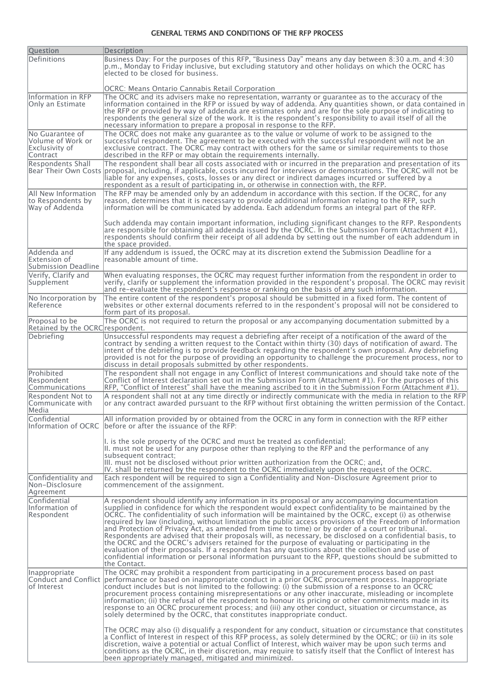#### GENERAL TERMS AND CONDITIONS OF THE RFP PROCESS

| <b>Question</b>                                                    | <b>Description</b>                                                                                                                                                                                                                                                                                                                                                                                                                                                                                                                                                                                                                                                                                                                                                                                                                                                                                                                                                             |
|--------------------------------------------------------------------|--------------------------------------------------------------------------------------------------------------------------------------------------------------------------------------------------------------------------------------------------------------------------------------------------------------------------------------------------------------------------------------------------------------------------------------------------------------------------------------------------------------------------------------------------------------------------------------------------------------------------------------------------------------------------------------------------------------------------------------------------------------------------------------------------------------------------------------------------------------------------------------------------------------------------------------------------------------------------------|
| <b>Definitions</b>                                                 | Business Day: For the purposes of this RFP, "Business Day" means any day between 8:30 a.m. and 4:30<br>p.m., Monday to Friday inclusive, but excluding statutory and other holidays on which the OCRC has<br>elected to be closed for business.                                                                                                                                                                                                                                                                                                                                                                                                                                                                                                                                                                                                                                                                                                                                |
|                                                                    | OCRC: Means Ontario Cannabis Retail Corporation                                                                                                                                                                                                                                                                                                                                                                                                                                                                                                                                                                                                                                                                                                                                                                                                                                                                                                                                |
| Information in RFP<br>Only an Estimate                             | The OCRC and its advisers make no representation, warranty or quarantee as to the accuracy of the<br>information contained in the RFP or issued by way of addenda. Any quantities shown, or data contained in<br>the RFP or provided by way of addenda are estimates only and are for the sole purpose of indicating to<br>respondents the general size of the work. It is the respondent's responsibility to avail itself of all the<br>necessary information to prepare a proposal in response to the RFP.                                                                                                                                                                                                                                                                                                                                                                                                                                                                   |
| No Guarantee of<br>Volume of Work or<br>Exclusivity of<br>Contract | The OCRC does not make any guarantee as to the value or volume of work to be assigned to the<br>successful respondent. The agreement to be executed with the successful respondent will not be an<br>exclusive contract. The OCRC may contract with others for the same or similar requirements to those<br>described in the RFP or may obtain the requirements internally.                                                                                                                                                                                                                                                                                                                                                                                                                                                                                                                                                                                                    |
| Respondents Shall                                                  | The respondent shall bear all costs associated with or incurred in the preparation and presentation of its<br>Bear Their Own Costs proposal, including, if applicable, costs incurred for interviews or demonstrations. The OCRC will not be<br>liable for any expenses, costs, losses or any direct or indirect damages incurred or suffered by a<br>respondent as a result of participating in, or otherwise in connection with, the RFP.                                                                                                                                                                                                                                                                                                                                                                                                                                                                                                                                    |
| All New Information<br>to Respondents by<br>Way of Addenda         | The RFP may be amended only by an addendum in accordance with this section. If the OCRC, for any<br>reason, determines that it is necessary to provide additional information relating to the RFP, such<br>information will be communicated by addenda. Each addendum forms an integral part of the RFP.                                                                                                                                                                                                                                                                                                                                                                                                                                                                                                                                                                                                                                                                       |
|                                                                    | Such addenda may contain important information, including significant changes to the RFP. Respondents<br>are responsible for obtaining all addenda issued by the OCRC. In the Submission Form (Attachment #1),<br>respondents should confirm their receipt of all addenda by setting out the number of each addendum in<br>the space provided.                                                                                                                                                                                                                                                                                                                                                                                                                                                                                                                                                                                                                                 |
| Addenda and<br>Extension of<br>Submission Deadline                 | If any addendum is issued, the OCRC may at its discretion extend the Submission Deadline for a<br>reasonable amount of time.                                                                                                                                                                                                                                                                                                                                                                                                                                                                                                                                                                                                                                                                                                                                                                                                                                                   |
| Verify, Clarify and<br>Supplement                                  | When evaluating responses, the OCRC may request further information from the respondent in order to<br>verify, clarify or supplement the information provided in the respondent's proposal. The OCRC may revisit<br>and re-evaluate the respondent's response or ranking on the basis of any such information.                                                                                                                                                                                                                                                                                                                                                                                                                                                                                                                                                                                                                                                                 |
| No Incorporation by<br>Reference                                   | The entire content of the respondent's proposal should be submitted in a fixed form. The content of<br>websites or other external documents referred to in the respondent's proposal will not be considered to<br>form part of its proposal.                                                                                                                                                                                                                                                                                                                                                                                                                                                                                                                                                                                                                                                                                                                                   |
| Proposal to be<br>Retained by the OCRC respondent.                 | The OCRC is not required to return the proposal or any accompanying documentation submitted by a                                                                                                                                                                                                                                                                                                                                                                                                                                                                                                                                                                                                                                                                                                                                                                                                                                                                               |
| Debriefing                                                         | Unsuccessful respondents may request a debriefing after receipt of a notification of the award of the                                                                                                                                                                                                                                                                                                                                                                                                                                                                                                                                                                                                                                                                                                                                                                                                                                                                          |
|                                                                    | contract by sending a written request to the Contact within thirty (30) days of notification of award. The<br>intent of the debriefing is to provide feedback regarding the respondent's own proposal. Any debriefing<br>provided is not for the purpose of providing an opportunity to challenge the procurement process, nor to<br>discuss in detail proposals submitted by other respondents.                                                                                                                                                                                                                                                                                                                                                                                                                                                                                                                                                                               |
| Prohibited<br>Respondent<br>Communications                         | The respondent shall not engage in any Conflict of Interest communications and should take note of the<br>Conflict of Interest declaration set out in the Submission Form (Attachment #1). For the purposes of this<br>RFP, "Conflict of Interest" shall have the meaning ascribed to it in the Submission Form (Attachment #1).                                                                                                                                                                                                                                                                                                                                                                                                                                                                                                                                                                                                                                               |
| Respondent Not to<br>Communicate with<br>Media                     | A respondent shall not at any time directly or indirectly communicate with the media in relation to the RFP<br>or any contract awarded pursuant to the RFP without first obtaining the written permission of the Contact.                                                                                                                                                                                                                                                                                                                                                                                                                                                                                                                                                                                                                                                                                                                                                      |
| Confidential                                                       | All information provided by or obtained from the OCRC in any form in connection with the RFP either<br>Information of OCRC lbefore or after the issuance of the RFP:                                                                                                                                                                                                                                                                                                                                                                                                                                                                                                                                                                                                                                                                                                                                                                                                           |
|                                                                    | I. is the sole property of the OCRC and must be treated as confidential;<br>II. must not be used for any purpose other than replying to the RFP and the performance of any<br>subsequent contract:<br>III. must not be disclosed without prior written authorization from the OCRC; and,                                                                                                                                                                                                                                                                                                                                                                                                                                                                                                                                                                                                                                                                                       |
|                                                                    | $ V$ . shall be returned by the respondent to the OCRC immediately upon the request of the OCRC.                                                                                                                                                                                                                                                                                                                                                                                                                                                                                                                                                                                                                                                                                                                                                                                                                                                                               |
| Confidentiality and<br>Non-Disclosure<br>Agreement                 | Each respondent will be required to sign a Confidentiality and Non-Disclosure Agreement prior to<br>commencement of the assignment.                                                                                                                                                                                                                                                                                                                                                                                                                                                                                                                                                                                                                                                                                                                                                                                                                                            |
| Confidential<br>Information of<br>Respondent                       | A respondent should identify any information in its proposal or any accompanying documentation<br>supplied in confidence for which the respondent would expect confidentiality to be maintained by the<br>OCRC. The confidentiality of such information will be maintained by the OCRC, except (i) as otherwise<br>required by law (including, without limitation the public access provisions of the Freedom of Information<br>and Protection of Privacy Act, as amended from time to time) or by order of a court or tribunal.<br>Respondents are advised that their proposals will, as necessary, be disclosed on a confidential basis, to<br>the OCRC and the OCRC's advisers retained for the purpose of evaluating or participating in the<br>evaluation of their proposals. If a respondent has any questions about the collection and use of<br>confidential information or personal information pursuant to the RFP, questions should be submitted to<br>the Contact. |
| Inappropriate<br>of Interest                                       | The OCRC may prohibit a respondent from participating in a procurement process based on past<br>Conduct and Conflict performance or based on inappropriate conduct in a prior OCRC procurement process. Inappropriate<br>conduct includes but is not limited to the following: (i) the submission of a response to an OCRC<br>procurement process containing misrepresentations or any other inaccurate, misleading or incomplete<br>information; (ii) the refusal of the respondent to honour its pricing or other commitments made in its<br>response to an OCRC procurement process; and (iii) any other conduct, situation or circumstance, as<br>solely determined by the OCRC, that constitutes inappropriate conduct.<br>The OCRC may also (i) disqualify a respondent for any conduct, situation or circumstance that constitutes                                                                                                                                      |
|                                                                    | a Conflict of Interest in respect of this RFP process, as solely determined by the OCRC; or (ii) in its sole<br>discretion, waive a potential or actual Conflict of Interest, which waiver may be upon such terms and<br>conditions as the OCRC, in their discretion, may require to satisfy itself that the Conflict of Interest has<br>been appropriately managed, mitigated and minimized.                                                                                                                                                                                                                                                                                                                                                                                                                                                                                                                                                                                  |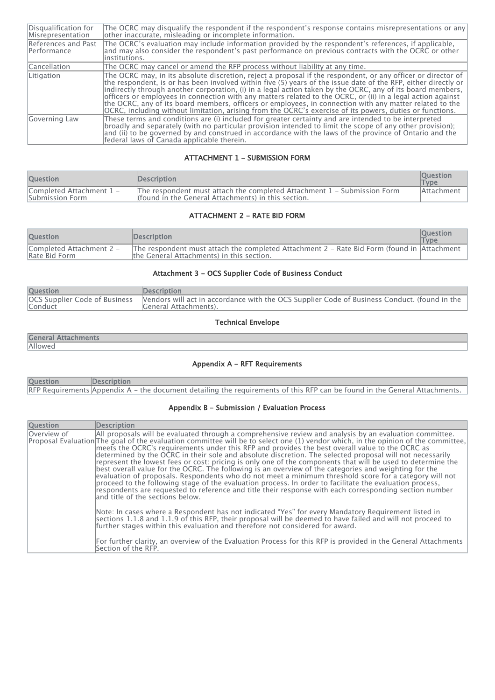| Disqualification for<br>Misrepresentation | The OCRC may disqualify the respondent if the respondent's response contains misrepresentations or any<br>other inaccurate, misleading or incomplete information.                                                                                                                                                                                                                                                                                                                                                                                                                                                                                                                  |
|-------------------------------------------|------------------------------------------------------------------------------------------------------------------------------------------------------------------------------------------------------------------------------------------------------------------------------------------------------------------------------------------------------------------------------------------------------------------------------------------------------------------------------------------------------------------------------------------------------------------------------------------------------------------------------------------------------------------------------------|
| References and Past<br>Performance        | The OCRC's evaluation may include information provided by the respondent's references, if applicable,<br>and may also consider the respondent's past performance on previous contracts with the OCRC or other<br>linstitutions.                                                                                                                                                                                                                                                                                                                                                                                                                                                    |
| Cancellation                              | The OCRC may cancel or amend the RFP process without liability at any time.                                                                                                                                                                                                                                                                                                                                                                                                                                                                                                                                                                                                        |
| Litigation                                | The OCRC may, in its absolute discretion, reject a proposal if the respondent, or any officer or director of<br>the respondent, is or has been involved within five (5) years of the issue date of the RFP, either directly or<br>indirectly through another corporation, (i) in a legal action taken by the OCRC, any of its board members,<br>officers or employees in connection with any matters related to the OCRC, or (ii) in a legal action against<br>the OCRC, any of its board members, officers or employees, in connection with any matter related to the<br>OCRC, including without limitation, arising from the OCRC's exercise of its powers, duties or functions. |
| Governing Law                             | These terms and conditions are (i) included for greater certainty and are intended to be interpreted<br>$ $ broadly and separately (with no particular provision intended to limit the scope of any other provision);<br>and (ii) to be governed by and construed in accordance with the laws of the province of Ontario and the<br>federal laws of Canada applicable therein.                                                                                                                                                                                                                                                                                                     |

### ATTACHMENT 1 - SUBMISSION FORM

| <b>Ouestion</b>                             | <b>Description</b>                                                                                                               | <b>Ouestion</b><br><b>Type</b> |
|---------------------------------------------|----------------------------------------------------------------------------------------------------------------------------------|--------------------------------|
| Completed Attachment 1 -<br>Submission Form | The respondent must attach the completed Attachment 1 - Submission Form<br>I (found in the General Attachments) in this section. | Attachment                     |

## ATTACHMENT 2 - RATE BID FORM

| <b>Ouestion</b>                           | <b>Description</b>                                                                                                                              | <b>Ouestion</b><br><b>Type</b> |
|-------------------------------------------|-------------------------------------------------------------------------------------------------------------------------------------------------|--------------------------------|
| Completed Attachment 2 -<br>Rate Bid Form | The respondent must attach the completed Attachment 2 - Rate Bid Form (found in $ $ Attachment $ $<br>the General Attachments) in this section. |                                |

## Attachment 3 - OCS Supplier Code of Business Conduct

| <b>Question</b> | <b>IDescription</b>                                                                                                                                  |
|-----------------|------------------------------------------------------------------------------------------------------------------------------------------------------|
| <b>Conduct</b>  | OCS Supplier Code of Business  Vendors will act in accordance with the OCS Supplier Code of Business Conduct. (found in the<br>General Attachments). |

### Technical Envelope

| the state and state of<br>--------------- |
|-------------------------------------------|
|                                           |

### Appendix A - RFT Requirements

| <b>Ouestion</b> | <b>IDescription</b>                                                                                                        |
|-----------------|----------------------------------------------------------------------------------------------------------------------------|
|                 | RFP Requirements Appendix A – the document detailing the requirements of this RFP can be found in the General Attachments. |

## Appendix B - Submission / Evaluation Process

| <b>Question</b> | Description                                                                                                                                                                                                                                                                                                                                                                                                                                                                                                                                                                                                                                                                                                                                                                                                                                                                                                                                                                                                                                             |
|-----------------|---------------------------------------------------------------------------------------------------------------------------------------------------------------------------------------------------------------------------------------------------------------------------------------------------------------------------------------------------------------------------------------------------------------------------------------------------------------------------------------------------------------------------------------------------------------------------------------------------------------------------------------------------------------------------------------------------------------------------------------------------------------------------------------------------------------------------------------------------------------------------------------------------------------------------------------------------------------------------------------------------------------------------------------------------------|
| Overview of     | All proposals will be evaluated through a comprehensive review and analysis by an evaluation committee.<br>Proposal Evaluation The goal of the evaluation committee will be to select one (1) vendor which, in the opinion of the committee,<br>meets the OCRC's requirements under this RFP and provides the best overall value to the OCRC as<br>determined by the OCRC in their sole and absolute discretion. The selected proposal will not necessarily<br>represent the lowest fees or cost: pricing is only one of the components that will be used to determine the<br>best overall value for the OCRC. The following is an overview of the categories and weighting for the<br>evaluation of proposals. Respondents who do not meet a minimum threshold score for a category will not<br>proceed to the following stage of the evaluation process. In order to facilitate the evaluation process,<br>respondents are requested to reference and title their response with each corresponding section number<br>and title of the sections below. |
|                 | Note: In cases where a Respondent has not indicated "Yes" for every Mandatory Requirement listed in<br>sections 1.1.8 and 1.1.9 of this RFP, their proposal will be deemed to have failed and will not proceed to<br>further stages within this evaluation and therefore not considered for award.<br> For further clarity, an overview of the Evaluation Process for this RFP is provided in the General Attachments<br>Section of the RFP.                                                                                                                                                                                                                                                                                                                                                                                                                                                                                                                                                                                                            |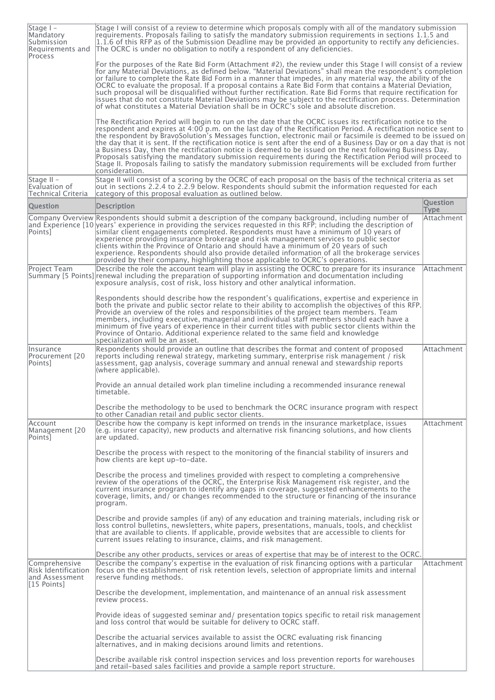| Stage I -<br>Mandatory<br>Submission<br>Requirements and<br>Process    | Stage I will consist of a review to determine which proposals comply with all of the mandatory submission<br>requirements. Proposals failing to satisfy the mandatory submission requirements in sections 1.1.5 and<br>1.1.6 of this RFP as of the Submission Deadline may be provided an opportunity to rectify any deficiencies.<br>The OCRC is under no obligation to notify a respondent of any deficiencies.                                                                                                                                                                                                                                                                                                                                                                                                                |                                |
|------------------------------------------------------------------------|----------------------------------------------------------------------------------------------------------------------------------------------------------------------------------------------------------------------------------------------------------------------------------------------------------------------------------------------------------------------------------------------------------------------------------------------------------------------------------------------------------------------------------------------------------------------------------------------------------------------------------------------------------------------------------------------------------------------------------------------------------------------------------------------------------------------------------|--------------------------------|
|                                                                        | For the purposes of the Rate Bid Form (Attachment #2), the review under this Stage I will consist of a review<br>for any Material Deviations, as defined below. "Material Deviations" shall mean the respondent's completion<br>or failure to complete the Rate Bid Form in a manner that impedes, in any material way, the ability of the<br>OCRC to evaluate the proposal. If a proposal contains a Rate Bid Form that contains a Material Deviation,<br>such proposal will be disqualified without further rectification. Rate Bid Forms that require rectification for<br>issues that do not constitute Material Deviations may be subject to the rectification process. Determination<br>of what constitutes a Material Deviation shall be in OCRC's sole and absolute discretion.                                          |                                |
|                                                                        | The Rectification Period will begin to run on the date that the OCRC issues its rectification notice to the<br>respondent and expires at 4:00 p.m. on the last day of the Rectification Period. A rectification notice sent to<br>the respondent by BravoSolution's Messages function, electronic mail or facsimile is deemed to be issued on<br>the day that it is sent. If the rectification notice is sent after the end of a Business Day or on a day that is not<br>a Business Day, then the rectification notice is deemed to be issued on the next following Business Day.<br>Proposals satisfying the mandatory submission requirements during the Rectification Period will proceed to<br>Stage II. Proposals failing to satisfy the mandatory submission requirements will be excluded from further<br>lconsideration. |                                |
| Stage $II -$<br>Evaluation of<br>Technical Criteria                    | Stage II will consist of a scoring by the OCRC of each proposal on the basis of the technical criteria as set<br>out in sections 2.2.4 to 2.2.9 below. Respondents should submit the information requested for each<br>category of this proposal evaluation as outlined below.                                                                                                                                                                                                                                                                                                                                                                                                                                                                                                                                                   |                                |
| <b>Ouestion</b>                                                        | <b>Description</b>                                                                                                                                                                                                                                                                                                                                                                                                                                                                                                                                                                                                                                                                                                                                                                                                               | <b>Question</b><br><b>Type</b> |
| Points]                                                                | Company Overview Respondents should submit a description of the company background, including number of<br>and Experience [10] years' experience in providing the services requested in this RFP; including the description of<br>similar client engagements completed. Respondents must have a minimum of 10 years of<br>experience providing insurance brokerage and risk management services to public sector<br>clients within the Province of Ontario and should have a minimum of 20 years of such<br>experience. Respondents should also provide detailed information of all the brokerage services<br>provided by their company, highlighting those applicable to OCRC's operations.                                                                                                                                     | Attachment                     |
| Project Team                                                           | Describe the role the account team will play in assisting the OCRC to prepare for its insurance<br>Summary [5 Points] renewal including the preparation of supporting information and documentation including<br>exposure analysis, cost of risk, loss history and other analytical information.                                                                                                                                                                                                                                                                                                                                                                                                                                                                                                                                 | Attachment                     |
|                                                                        | Respondents should describe how the respondent's qualifications, expertise and experience in<br>both the private and public sector relate to their ability to accomplish the objectives of this RFP.<br>Provide an overview of the roles and responsibilities of the project team members. Team<br> members, including executive, managerial and individual staff members should each have a<br>minimum of five years of experience in their current titles with public sector clients within the<br>Province of Ontario. Additional experience related to the same field and knowledge<br>specialization will be an asset.                                                                                                                                                                                                      |                                |
| llnsurance<br>Procurement [20<br>Points]                               | Respondents should provide an outline that describes the format and content of proposed<br>reports including renewal strategy, marketing summary, enterprise risk management / risk<br>assessment, gap analysis, coverage summary and annual renewal and stewardship reports<br>(where applicable).                                                                                                                                                                                                                                                                                                                                                                                                                                                                                                                              | Attachment                     |
|                                                                        | Provide an annual detailed work plan timeline including a recommended insurance renewal<br> timetable.                                                                                                                                                                                                                                                                                                                                                                                                                                                                                                                                                                                                                                                                                                                           |                                |
|                                                                        | Describe the methodology to be used to benchmark the OCRC insurance program with respect<br>to other Canadian retail and public sector clients.                                                                                                                                                                                                                                                                                                                                                                                                                                                                                                                                                                                                                                                                                  |                                |
| Account<br>Management [20<br>Points]                                   | Describe how the company is kept informed on trends in the insurance marketplace, issues<br>(e.g. insurer capacity), new products and alternative risk financing solutions, and how clients<br>are updated.                                                                                                                                                                                                                                                                                                                                                                                                                                                                                                                                                                                                                      | Attachment                     |
|                                                                        | Describe the process with respect to the monitoring of the financial stability of insurers and<br>how clients are kept up-to-date.                                                                                                                                                                                                                                                                                                                                                                                                                                                                                                                                                                                                                                                                                               |                                |
|                                                                        | Describe the process and timelines provided with respect to completing a comprehensive<br>review of the operations of the OCRC, the Enterprise Risk Management risk register, and the<br>current insurance program to identify any gaps in coverage, suggested enhancements to the<br>coverage, limits, and/ or changes recommended to the structure or financing of the insurance<br>program.                                                                                                                                                                                                                                                                                                                                                                                                                                   |                                |
|                                                                        | Describe and provide samples (if any) of any education and training materials, including risk or<br>loss control bulletins, newsletters, white papers, presentations, manuals, tools, and checklist<br>that are available to clients. If applicable, provide websites that are accessible to clients for<br>current issues relating to insurance, claims, and risk management.                                                                                                                                                                                                                                                                                                                                                                                                                                                   |                                |
| Comprehensive<br>Risk Identification<br>and Assessment<br> [15 Points] | Describe any other products, services or areas of expertise that may be of interest to the OCRC.<br>Describe the company's expertise in the evaluation of risk financing options with a particular<br>focus on the establishment of risk retention levels, selection of appropriate limits and internal<br>reserve funding methods.                                                                                                                                                                                                                                                                                                                                                                                                                                                                                              | Attachment                     |
|                                                                        | Describe the development, implementation, and maintenance of an annual risk assessment<br>review process.                                                                                                                                                                                                                                                                                                                                                                                                                                                                                                                                                                                                                                                                                                                        |                                |
|                                                                        | Provide ideas of suggested seminar and/ presentation topics specific to retail risk management<br>and loss control that would be suitable for delivery to OCRC staff.                                                                                                                                                                                                                                                                                                                                                                                                                                                                                                                                                                                                                                                            |                                |
|                                                                        | Describe the actuarial services available to assist the OCRC evaluating risk financing<br>alternatives, and in making decisions around limits and retentions.                                                                                                                                                                                                                                                                                                                                                                                                                                                                                                                                                                                                                                                                    |                                |
|                                                                        | Describe available risk control inspection services and loss prevention reports for warehouses<br>and retail-based sales facilities and provide a sample report structure.                                                                                                                                                                                                                                                                                                                                                                                                                                                                                                                                                                                                                                                       |                                |